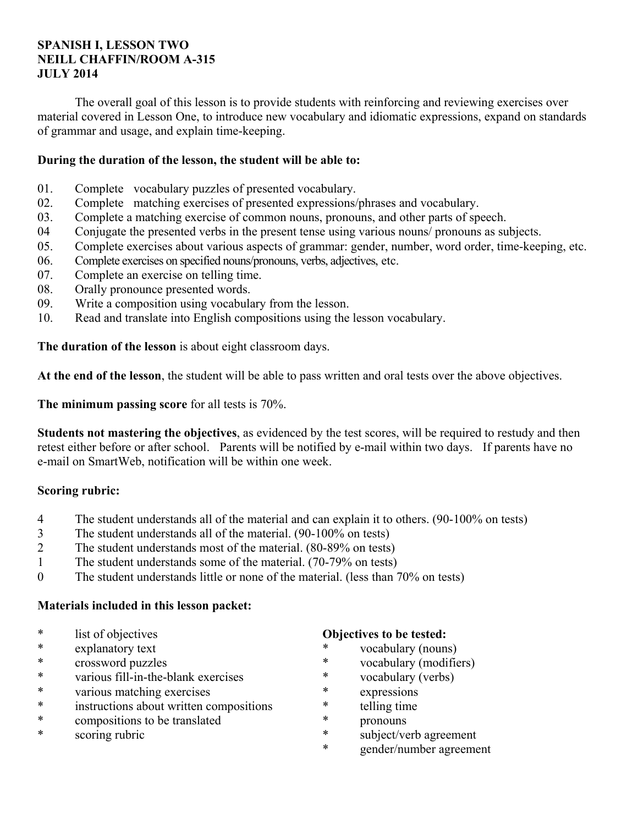# **SPANISH I, LESSON TWO NEILL CHAFFIN/ROOM A-315 JULY 2014**

 The overall goal of this lesson is to provide students with reinforcing and reviewing exercises over material covered in Lesson One, to introduce new vocabulary and idiomatic expressions, expand on standards of grammar and usage, and explain time-keeping.

# **During the duration of the lesson, the student will be able to:**

- 01. Complete vocabulary puzzles of presented vocabulary.
- 02. Complete matching exercises of presented expressions/phrases and vocabulary.
- 03. Complete a matching exercise of common nouns, pronouns, and other parts of speech.
- 04 Conjugate the presented verbs in the present tense using various nouns/ pronouns as subjects.
- 05. Complete exercises about various aspects of grammar: gender, number, word order, time-keeping, etc.
- 06. Complete exercises on specified nouns/pronouns, verbs, adjectives, etc.
- 07. Complete an exercise on telling time.
- 08. Orally pronounce presented words.
- 09. Write a composition using vocabulary from the lesson.
- 10. Read and translate into English compositions using the lesson vocabulary.

**The duration of the lesson** is about eight classroom days.

**At the end of the lesson**, the student will be able to pass written and oral tests over the above objectives.

**The minimum passing score** for all tests is 70%.

**Students not mastering the objectives**, as evidenced by the test scores, will be required to restudy and then retest either before or after school. Parents will be notified by e-mail within two days. If parents have no e-mail on SmartWeb, notification will be within one week.

# **Scoring rubric:**

- 4 The student understands all of the material and can explain it to others. (90-100% on tests)
- 3 The student understands all of the material. (90-100% on tests)
- 2 The student understands most of the material. (80-89% on tests)
- 1 The student understands some of the material. (70-79% on tests)
- 0 The student understands little or none of the material. (less than 70% on tests)

# **Materials included in this lesson packet:**

- \* list of objectives
- explanatory text
- \* crossword puzzles
- \* various fill-in-the-blank exercises
- \* various matching exercises
- \* instructions about written compositions
- \* compositions to be translated
- \* scoring rubric

## **Objectives to be tested:**

- vocabulary (nouns)
- \* vocabulary (modifiers)
- \* vocabulary (verbs)
- \* expressions
- \* telling time
- \* pronouns
- subject/verb agreement
- \* gender/number agreement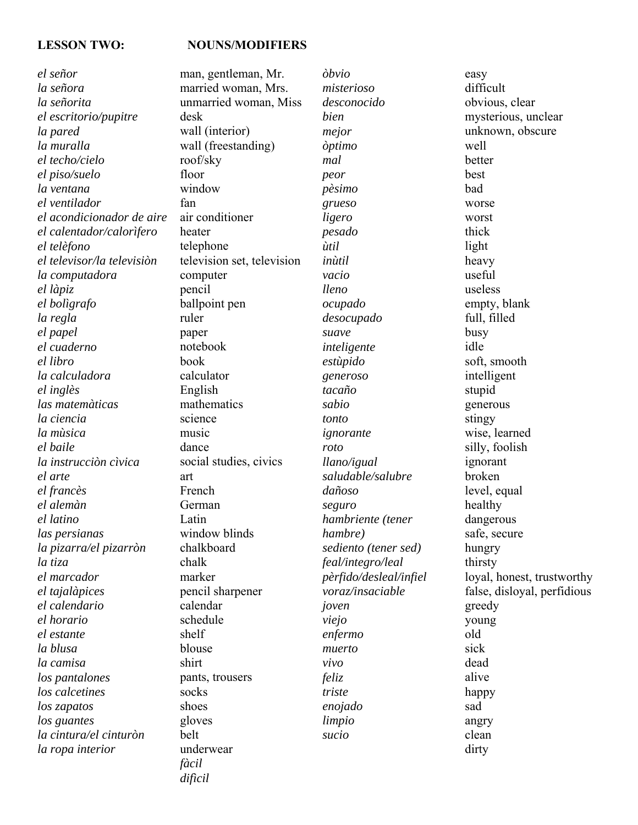### LESSON TWO: NOUNS/MODIFIERS

*el señor la señora la señorita el escritorio/pupitre la pared la muralla el techo/cielo el piso/suelo la ventana el ventilador el acondicionador de aire el calentador/calorìfero el telèfono el televisor/la televisiòn la computadora el làpiz el bolìgrafo la regla el papel el cuaderno el libro la calculadora el inglès las matemàticas la ciencia la mùsica el baile la instrucciòn cìvica el arte el francès el alemàn el latino las persianas la pizarra/el pizarròn la tiza el marcador el tajalàpices el calendario el horario el estante la blusa la camisa los pantalones los calcetines los zapatos los guantes la cintura/el cinturòn la ropa interior*

man, gentleman, Mr. married woman, Mrs. unmarried woman, Miss desk wall (interior) wall (freestanding) roof/sky floor window fan air conditioner heater telephone television set, television computer pencil ballpoint pen ruler paper notebook book calculator English mathematics science music dance social studies, civics art French German Latin window blinds chalkboard chalk marker pencil sharpener calendar schedule shelf blouse shirt pants, trousers socks shoes gloves belt underwear *fàcil* 

*difìcil* 

*òbvio misterioso desconocido bien mejor òptimo mal peor pèsimo grueso ligero pesado ùtil inùtil vacio lleno ocupado desocupado suave inteligente estùpido generoso tacaño sabio tonto ignorante roto llano/igual saludable/salubre dañoso seguro hambriente (tener hambre) sediento (tener sed) feal/integro/leal pèrfido/desleal/infiel voraz/insaciable joven viejo enfermo muerto vivo feliz triste enojado limpio sucio*

easy difficult obvious, clear mysterious, unclear unknown, obscure well better best bad worse worst thick light heavy useful useless empty, blank full, filled busy idle soft, smooth intelligent stupid generous stingy wise, learned silly, foolish ignorant broken level, equal healthy dangerous safe, secure hungry thirsty loyal, honest, trustworthy false, disloyal, perfidious greedy young old sick dead alive happy sad angry clean dirty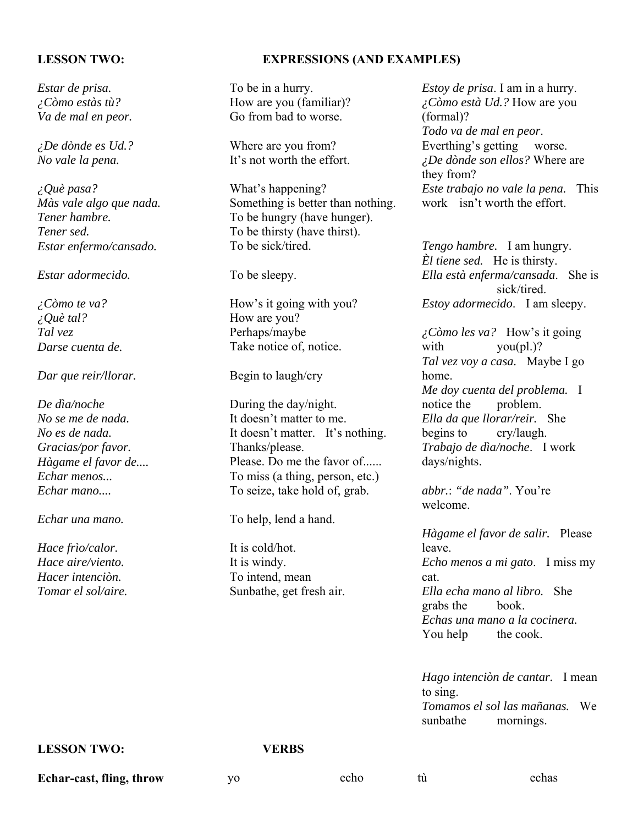*Estar de prisa. ¿Còmo estàs tù? Va de mal en peor.* 

*¿De dònde es Ud.? No vale la pena.* 

*¿Què pasa? Màs vale algo que nada. Tener hambre. Tener sed. Estar enfermo/cansado.* 

*Estar adormecido.* 

*¿Còmo te va? ¿Què tal? Tal vez Darse cuenta de.* 

### *Dar que reir/llorar.*

*De dìa/noche No se me de nada. No es de nada. Gracias/por favor. Hàgame el favor de.... Echar menos... Echar mano....* 

*Echar una mano.* 

*Hace frìo/calor. Hace aire/viento. Hacer intenciòn. Tomar el sol/aire.*

## **LESSON TWO: EXPRESSIONS (AND EXAMPLES)**

To be in a hurry. How are you (familiar)? Go from bad to worse.

Where are you from? It's not worth the effort.

What's happening? Something is better than nothing. To be hungry (have hunger). To be thirsty (have thirst). To be sick/tired.

To be sleepy.

How's it going with you? How are you? Perhaps/maybe Take notice of, notice.

Begin to laugh/cry

During the day/night. It doesn't matter to me. It doesn't matter. It's nothing. Thanks/please. Please. Do me the favor of...... To miss (a thing, person, etc.) To seize, take hold of, grab.

To help, lend a hand.

It is cold/hot. It is windy. To intend, mean Sunbathe, get fresh air. *Estoy de prisa*. I am in a hurry. *¿Còmo està Ud.?* How are you (formal)? *Todo va de mal en peor*. Everthing's getting worse. *¿De dònde son ellos?* Where are they from? *Este trabajo no vale la pena.* This work isn't worth the effort.

*Tengo hambre.* I am hungry. *Èl tiene sed.* He is thirsty. *Ella està enferma/cansada*. She is sick/tired. *Estoy adormecido*. I am sleepy.

*¿Còmo les va?* How's it going with you(pl.)? *Tal vez voy a casa.* Maybe I go home. *Me doy cuenta del problema.* I notice the problem. *Ella da que llorar/reir.* She begins to cry/laugh. *Trabajo de dìa/noche*. I work days/nights.

*abbr.*: *"de nada"*. You're welcome.

*Hàgame el favor de salir.* Please leave. *Echo menos a mi gato*. I miss my cat. *Ella echa mano al libro.* She grabs the book. *Echas una mano a la cocinera.* You help the cook.

*Hago intenciòn de cantar.* I mean to sing. *Tomamos el sol las mañanas.* We sunbathe mornings.

## **LESSON TWO: VERBS**

**Echar-cast, fling, throw** yo echo tù echas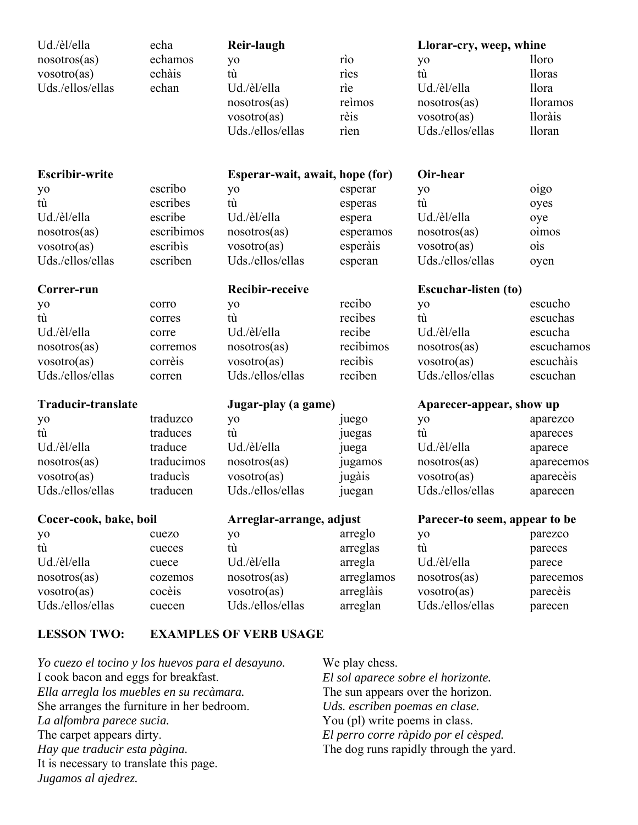| Ud./èl/ella<br>nosotros(as)<br>vosotro(as)<br>Uds./ellos/ellas | echa<br>echamos<br>echàis<br>echan | <b>Reir-laugh</b><br>yo<br>tù<br>Ud./èl/ella<br>nosotros(as)<br>vosotro(as)<br>Uds./ellos/ellas | rìo<br>ries<br>rie<br>reimos<br>rèis<br>rien | Llorar-cry, weep, whine<br>yo<br>tù<br>Ud./èl/ella<br>nosotros(as)<br>vosotro(as)<br>Uds./ellos/ellas | <i>lloro</i><br><i>lloras</i><br><i>llora</i><br><i>lloramos</i><br><i>lloràis</i><br><i>lloran</i> |
|----------------------------------------------------------------|------------------------------------|-------------------------------------------------------------------------------------------------|----------------------------------------------|-------------------------------------------------------------------------------------------------------|-----------------------------------------------------------------------------------------------------|
| <b>Escribir-write</b>                                          |                                    | Esperar-wait, await, hope (for)                                                                 |                                              | Oir-hear                                                                                              |                                                                                                     |
| yo                                                             | escribo                            | yo                                                                                              | esperar                                      | yo                                                                                                    | oigo                                                                                                |
| tù                                                             | escribes                           | tù                                                                                              | esperas                                      | tù                                                                                                    | oyes                                                                                                |
| Ud./èl/ella                                                    | escribe                            | Ud./èl/ella                                                                                     | espera                                       | Ud./èl/ella                                                                                           | oye                                                                                                 |
| nosotros(as)                                                   | escribimos                         | nosotros(as)                                                                                    | esperamos                                    | nosotros(as)                                                                                          | oimos                                                                                               |
| vosotro(as)                                                    | escribìs                           | vosotro(as)                                                                                     | esperàis                                     | vo <sub>s</sub> otro(as)                                                                              | ois                                                                                                 |
| Uds./ellos/ellas                                               | escriben                           | Uds./ellos/ellas                                                                                | esperan                                      | Uds./ellos/ellas                                                                                      | oyen                                                                                                |
| Correr-run                                                     |                                    | <b>Recibir-receive</b>                                                                          |                                              | <b>Escuchar-listen (to)</b>                                                                           |                                                                                                     |
| yo                                                             | corro                              | yo                                                                                              | recibo                                       | yo                                                                                                    | escucho                                                                                             |
| tù                                                             | corres                             | tù                                                                                              | recibes                                      | tù                                                                                                    | escuchas                                                                                            |
| Ud./èl/ella                                                    | corre                              | Ud./èl/ella                                                                                     | recibe                                       | Ud./èl/ella                                                                                           | escucha                                                                                             |
| nosotros(as)                                                   | corremos                           | nosotros(as)                                                                                    | recibimos                                    | nosotros(as)                                                                                          | escuchamos                                                                                          |
| vosotro(as)                                                    | corrèis                            | vosotro(as)                                                                                     | recibis                                      | vosotro(as)                                                                                           | escuchàis                                                                                           |
| Uds./ellos/ellas                                               | corren                             | Uds./ellos/ellas                                                                                | reciben                                      | Uds./ellos/ellas                                                                                      | escuchan                                                                                            |
| <b>Traducir-translate</b>                                      |                                    | Jugar-play (a game)                                                                             |                                              | Aparecer-appear, show up                                                                              |                                                                                                     |
| yo                                                             | traduzco                           | yo                                                                                              | juego                                        | yo                                                                                                    | aparezco                                                                                            |
| tù                                                             | traduces                           | tù                                                                                              | juegas                                       | tù                                                                                                    | apareces                                                                                            |
| Ud./èl/ella                                                    | traduce                            | Ud./èl/ella                                                                                     | juega                                        | Ud./èl/ella                                                                                           | aparece                                                                                             |
| nosotros(as)                                                   | traducimos                         | nosotros(as)                                                                                    | jugamos                                      | nosotros(as)                                                                                          | aparecemos                                                                                          |
| vosotro(as)                                                    | traducis                           | vosotro(as)                                                                                     | jugàis                                       | vosotro(as)                                                                                           | aparecèis                                                                                           |
| Uds./ellos/ellas                                               | traducen                           | Uds./ellos/ellas                                                                                | juegan                                       | Uds./ellos/ellas                                                                                      | aparecen                                                                                            |
| Cocer-cook, bake, boil                                         |                                    | Arreglar-arrange, adjust                                                                        |                                              | Parecer-to seem, appear to be                                                                         |                                                                                                     |
| yo                                                             | cuezo                              | yo                                                                                              | arreglo                                      | yo                                                                                                    | parezco                                                                                             |
| tù                                                             | cueces                             | tù                                                                                              | arreglas                                     | tù                                                                                                    | pareces                                                                                             |
| Ud./èl/ella                                                    | cuece                              | Ud./èl/ella                                                                                     | arregla                                      | Ud./èl/ella                                                                                           | parece                                                                                              |
| nosotros(as)                                                   | cozemos                            | nosotros(as)                                                                                    | arreglamos                                   | nosotros(as)                                                                                          | parecemos                                                                                           |
| vosotro(as)                                                    | cocèis                             | vosotro(as)                                                                                     | arreglàis                                    | vosotro(as)                                                                                           | parecèis                                                                                            |
| Uds./ellos/ellas                                               | cuecen                             | Uds./ellos/ellas                                                                                | arreglan                                     | Uds./ellos/ellas                                                                                      | parecen                                                                                             |
| I FEEON TWO.                                                   |                                    | <b><i>FVAMPI FS OF VERR HSACF</i></b>                                                           |                                              |                                                                                                       |                                                                                                     |

# **LESSON TWO: EXAMPLES OF VERB USAGE**

*Yo cuezo el tocino y los huevos para el desayuno.* I cook bacon and eggs for breakfast. *Ella arregla los muebles en su recàmara.* She arranges the furniture in her bedroom. *La alfombra parece sucia.* The carpet appears dirty. *Hay que traducir esta pàgina.* It is necessary to translate this page. *Jugamos al ajedrez.*

We play chess.

*El sol aparece sobre el horizonte.* The sun appears over the horizon. *Uds. escriben poemas en clase.*  You (pl) write poems in class. *El perro corre ràpido por el cèsped.* The dog runs rapidly through the yard.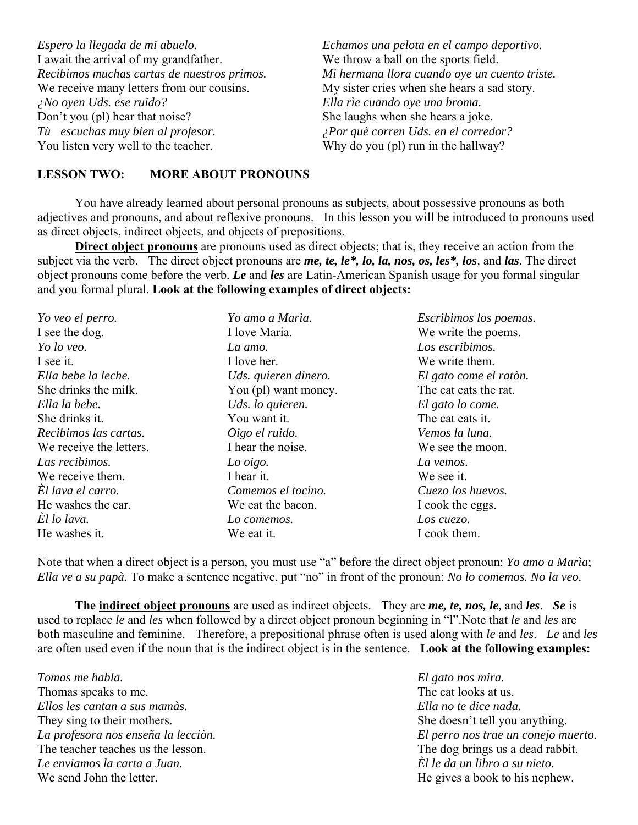| Espero la llegada de mi abuelo.             | Echamos una pelota en el campo deportivo.     |
|---------------------------------------------|-----------------------------------------------|
| I await the arrival of my grandfather.      | We throw a ball on the sports field.          |
| Recibimos muchas cartas de nuestros primos. | Mi hermana llora cuando oye un cuento triste. |
| We receive many letters from our cousins.   | My sister cries when she hears a sad story.   |
| $\lambda$ No oyen Uds. ese ruido?           | Ella rìe cuando oye una broma.                |
| Don't you (pl) hear that noise?             | She laughs when she hears a joke.             |
| Tù escuchas muy bien al profesor.           | ¿Por què corren Uds. en el corredor?          |
| You listen very well to the teacher.        | Why do you (pl) run in the hallway?           |

## **LESSON TWO: MORE ABOUT PRONOUNS**

 You have already learned about personal pronouns as subjects, about possessive pronouns as both adjectives and pronouns, and about reflexive pronouns. In this lesson you will be introduced to pronouns used as direct objects, indirect objects, and objects of prepositions.

**Direct object pronouns** are pronouns used as direct objects; that is, they receive an action from the subject via the verb. The direct object pronouns are *me, te, le\*, lo, la, nos, os, les\*, los,* and *las*. The direct object pronouns come before the verb. *Le* and *les* are Latin-American Spanish usage for you formal singular and you formal plural. **Look at the following examples of direct objects:**

| Yo veo el perro.        | Yo amo a Marìa.      | Escribimos los poemas. |
|-------------------------|----------------------|------------------------|
| I see the dog.          | I love Maria.        | We write the poems.    |
| Yo lo veo.              | La amo.              | Los escribimos.        |
| I see it.               | I love her.          | We write them.         |
| Ella bebe la leche.     | Uds. quieren dinero. | El gato come el ratòn. |
| She drinks the milk.    | You (pl) want money. | The cat eats the rat.  |
| Ella la bebe.           | Uds. lo quieren.     | El gato lo come.       |
| She drinks it.          | You want it.         | The cat eats it.       |
| Recibimos las cartas.   | Oigo el ruido.       | Vemos la luna.         |
| We receive the letters. | I hear the noise.    | We see the moon.       |
| Las recibimos.          | Lo oigo.             | La vemos.              |
| We receive them.        | I hear it.           | We see it.             |
| El lava el carro.       | Comemos el tocino.   | Cuezo los huevos.      |
| He washes the car.      | We eat the bacon.    | I cook the eggs.       |
| El lo lava.             | Lo comemos.          | Los cuezo.             |
| He washes it.           | We eat it.           | I cook them.           |

Note that when a direct object is a person, you must use "a" before the direct object pronoun: *Yo amo a Marìa*; *Ella ve a su papà.* To make a sentence negative, put "no" in front of the pronoun: *No lo comemos. No la veo.*

**The indirect object pronouns** are used as indirect objects. They are *me, te, nos, le,* and *les*. *Se* is used to replace *le* and *les* when followed by a direct object pronoun beginning in "l".Note that *le* and *les* are both masculine and feminine. Therefore, a prepositional phrase often is used along with *le* and *les*. *Le* and *les* are often used even if the noun that is the indirect object is in the sentence. **Look at the following examples:**

*Tomas me habla.* Thomas speaks to me. *Ellos les cantan a sus mamàs.* They sing to their mothers. *La profesora nos enseña la lecciòn.* The teacher teaches us the lesson. *Le enviamos la carta a Juan.* We send John the letter.

*El gato nos mira.* The cat looks at us. *Ella no te dice nada.* She doesn't tell you anything. *El perro nos trae un conejo muerto.* The dog brings us a dead rabbit. *Èl le da un libro a su nieto.* He gives a book to his nephew.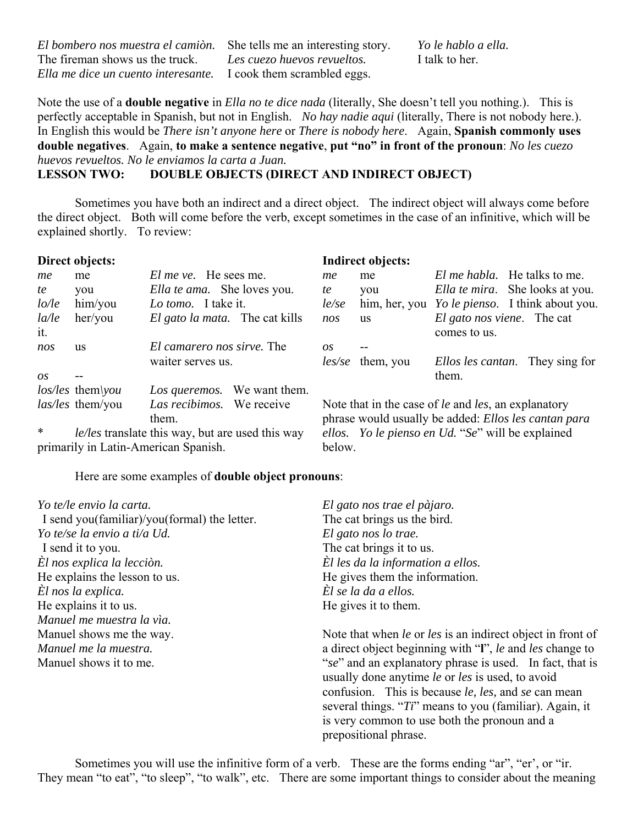| El bombero nos muestra el camión.   |
|-------------------------------------|
| The fireman shows us the truck.     |
| Ella me dice un cuento interesante. |

She tells me an interesting story. *Les cuezo huevos revueltos.* I cook them scrambled eggs.

*Yo le hablo a ella.* I talk to her.

Note the use of a **double negative** in *Ella no te dice nada* (literally, She doesn't tell you nothing.). This is perfectly acceptable in Spanish, but not in English. *No hay nadie aqui* (literally, There is not nobody here.). In English this would be *There isn't anyone here* or *There is nobody here*. Again, **Spanish commonly uses double negatives**. Again, **to make a sentence negative**, **put "no" in front of the pronoun**: *No les cuezo huevos revueltos. No le enviamos la carta a Juan.*

**LESSON TWO: DOUBLE OBJECTS (DIRECT AND INDIRECT OBJECT)**

 Sometimes you have both an indirect and a direct object. The indirect object will always come before the direct object. Both will come before the verb, except sometimes in the case of an infinitive, which will be explained shortly. To review:

## **Direct objects:**

|                                      | Direct objects:                                         |                                       |                                                   | <b>Indirect objects:</b> |                                                                                                             |
|--------------------------------------|---------------------------------------------------------|---------------------------------------|---------------------------------------------------|--------------------------|-------------------------------------------------------------------------------------------------------------|
| me                                   | me                                                      | <i>El me ve.</i> He sees me.          | me                                                | me                       | <i>El me habla.</i> He talks to me.                                                                         |
| te                                   | you                                                     | Ella te ama. She loves you.           | te                                                | you                      | <i>Ella te mira.</i> She looks at you.                                                                      |
| lo/le                                | him/you                                                 | Lo tomo. I take it.                   | le/se                                             | him, her, you            | <i>Yo le pienso.</i> I think about you.                                                                     |
| la/le<br>it.                         | her/you                                                 | El gato la mata. The cat kills        | nos                                               | <b>us</b>                | <i>El gato nos viene.</i> The cat<br>comes to us.                                                           |
| nos                                  | <b>us</b>                                               | El camarero nos sirve. The            | OS                                                |                          |                                                                                                             |
|                                      |                                                         | waiter serves us.                     |                                                   | <i>les/se</i> them, you  | <i>Ellos les cantan.</i> They sing for                                                                      |
| OS                                   |                                                         |                                       |                                                   |                          | them.                                                                                                       |
|                                      | $\cos$ /les them $\forall$ <i>ou</i>                    | We want them.<br>Los queremos.        |                                                   |                          |                                                                                                             |
|                                      | las/les them/you                                        | Las recibimos.<br>We receive<br>them. |                                                   |                          | Note that in the case of le and les, an explanatory<br>phrase would usually be added: Ellos les cantan para |
| $\ast$                               | <i>le/les</i> translate this way, but are used this way |                                       | ellos. Yo le pienso en Ud. "Se" will be explained |                          |                                                                                                             |
| primarily in Latin-American Spanish. |                                                         | below.                                |                                                   |                          |                                                                                                             |

Here are some examples of **double object pronouns**:

| Yo te/le envio la carta.                     | El gato nos trae el pàjaro.                                                                                                                                                                                                                                                                           |
|----------------------------------------------|-------------------------------------------------------------------------------------------------------------------------------------------------------------------------------------------------------------------------------------------------------------------------------------------------------|
| I send you(familiar)/you(formal) the letter. | The cat brings us the bird.                                                                                                                                                                                                                                                                           |
| Yo te/se la envio a ti/a Ud.                 | El gato nos lo trae.                                                                                                                                                                                                                                                                                  |
| I send it to you.                            | The cat brings it to us.                                                                                                                                                                                                                                                                              |
| El nos explica la lección.                   | El les da la information a ellos.                                                                                                                                                                                                                                                                     |
| He explains the lesson to us.                | He gives them the information.                                                                                                                                                                                                                                                                        |
| El nos la explica.                           | $\dot{E}$ l se la da a ellos.                                                                                                                                                                                                                                                                         |
| He explains it to us.                        | He gives it to them.                                                                                                                                                                                                                                                                                  |
| Manuel me muestra la via.                    |                                                                                                                                                                                                                                                                                                       |
| Manuel shows me the way.                     | Note that when le or les is an indirect object in front of                                                                                                                                                                                                                                            |
| Manuel me la muestra.                        | a direct object beginning with "I", le and les change to                                                                                                                                                                                                                                              |
| Manuel shows it to me.                       | "se" and an explanatory phrase is used. In fact, that is<br>usually done anytime le or les is used, to avoid<br>confusion. This is because <i>le</i> , <i>les</i> , and <i>se</i> can mean<br>several things. "Ti" means to you (familiar). Again, it<br>is very common to use both the pronoun and a |
|                                              | prepositional phrase.                                                                                                                                                                                                                                                                                 |

 Sometimes you will use the infinitive form of a verb. These are the forms ending "ar", "er', or "ir. They mean "to eat", "to sleep", "to walk", etc. There are some important things to consider about the meaning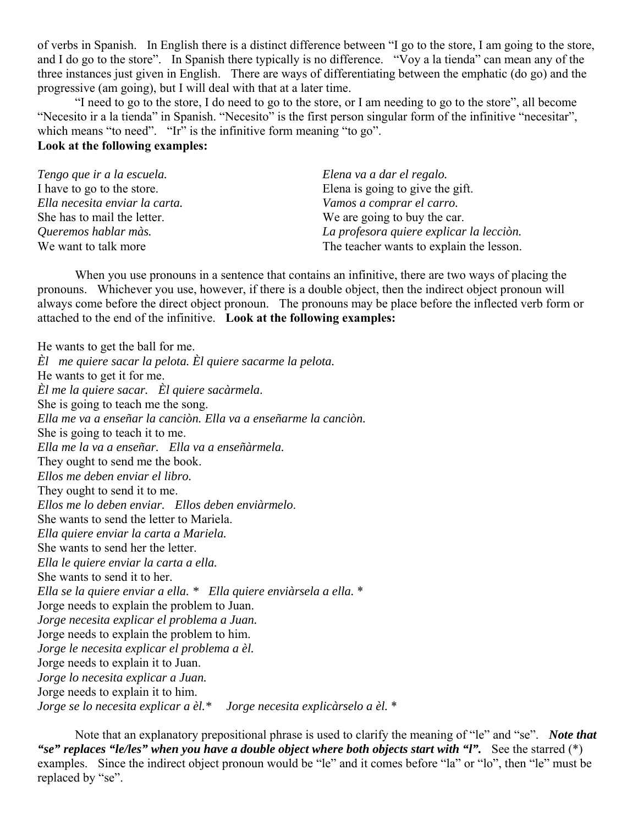of verbs in Spanish. In English there is a distinct difference between "I go to the store, I am going to the store, and I do go to the store". In Spanish there typically is no difference. "Voy a la tienda" can mean any of the three instances just given in English. There are ways of differentiating between the emphatic (do go) and the progressive (am going), but I will deal with that at a later time.

 "I need to go to the store, I do need to go to the store, or I am needing to go to the store", all become "Necesito ir a la tienda" in Spanish. "Necesito" is the first person singular form of the infinitive "necesitar", which means "to need". "Ir" is the infinitive form meaning "to go".

# **Look at the following examples:**

| Tengo que ir a la escuela.     | Elena va a dar el regalo.                |
|--------------------------------|------------------------------------------|
| I have to go to the store.     | Elena is going to give the gift.         |
| Ella necesita enviar la carta. | Vamos a comprar el carro.                |
| She has to mail the letter.    | We are going to buy the car.             |
| Queremos hablar màs.           | La profesora quiere explicar la lecciòn. |
| We want to talk more           | The teacher wants to explain the lesson. |

 When you use pronouns in a sentence that contains an infinitive, there are two ways of placing the pronouns. Whichever you use, however, if there is a double object, then the indirect object pronoun will always come before the direct object pronoun. The pronouns may be place before the inflected verb form or attached to the end of the infinitive. **Look at the following examples:**

He wants to get the ball for me. *Èl me quiere sacar la pelota. Èl quiere sacarme la pelota.* He wants to get it for me. *Èl me la quiere sacar. Èl quiere sacàrmela*. She is going to teach me the song. *Ella me va a enseñar la canciòn. Ella va a enseñarme la canciòn.* She is going to teach it to me. *Ella me la va a enseñar. Ella va a enseñàrmela.* They ought to send me the book. *Ellos me deben enviar el libro.* They ought to send it to me. *Ellos me lo deben enviar. Ellos deben enviàrmelo*. She wants to send the letter to Mariela. *Ella quiere enviar la carta a Mariela.* She wants to send her the letter. *Ella le quiere enviar la carta a ella.* She wants to send it to her. *Ella se la quiere enviar a ella. \* Ella quiere enviàrsela a ella.* \* Jorge needs to explain the problem to Juan. *Jorge necesita explicar el problema a Juan.* Jorge needs to explain the problem to him. *Jorge le necesita explicar el problema a èl.* Jorge needs to explain it to Juan. *Jorge lo necesita explicar a Juan.* Jorge needs to explain it to him. *Jorge se lo necesita explicar a èl.\* Jorge necesita explicàrselo a èl.* \*

 Note that an explanatory prepositional phrase is used to clarify the meaning of "le" and "se". *Note that "se" replaces "le/les" when you have a double object where both objects start with "l".* See the starred (\*) examples. Since the indirect object pronoun would be "le" and it comes before "la" or "lo", then "le" must be replaced by "se".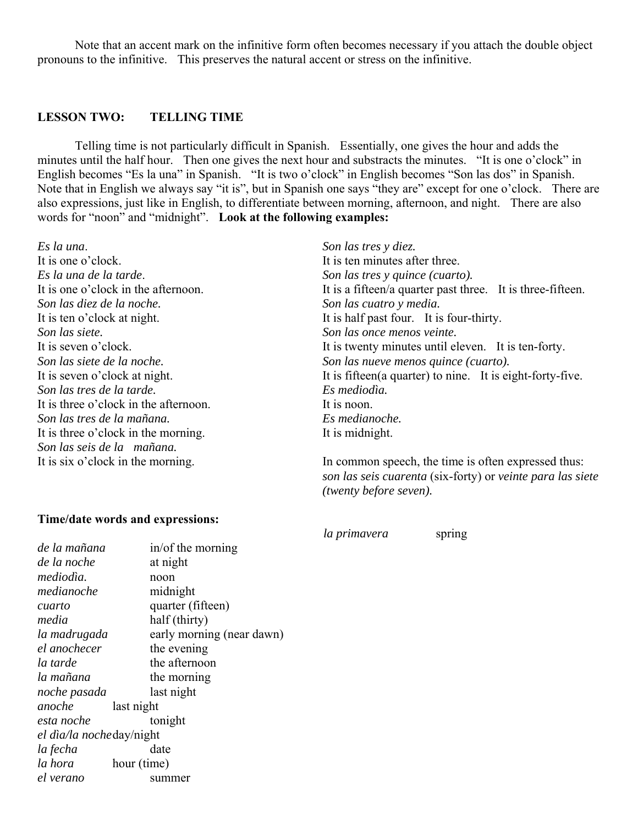Note that an accent mark on the infinitive form often becomes necessary if you attach the double object pronouns to the infinitive. This preserves the natural accent or stress on the infinitive.

## **LESSON TWO: TELLING TIME**

 Telling time is not particularly difficult in Spanish. Essentially, one gives the hour and adds the minutes until the half hour. Then one gives the next hour and substracts the minutes. "It is one o'clock" in English becomes "Es la una" in Spanish. "It is two o'clock" in English becomes "Son las dos" in Spanish. Note that in English we always say "it is", but in Spanish one says "they are" except for one o'clock. There are also expressions, just like in English, to differentiate between morning, afternoon, and night. There are also words for "noon" and "midnight". **Look at the following examples:**

*Es la una*. It is one o'clock. *Es la una de la tarde*. It is one o'clock in the afternoon. *Son las diez de la noche.* It is ten o'clock at night. *Son las siete.* It is seven o'clock. *Son las siete de la noche.* It is seven o'clock at night. *Son las tres de la tarde.* It is three o'clock in the afternoon. *Son las tres de la mañana.* It is three o'clock in the morning. *Son las seis de la mañana.* It is six o'clock in the morning.

## **Time/date words and expressions:**

*de la mañana* in/of the morning *de la noche* at night *mediodìa.* noon *medianoche* midnight *cuarto* quarter (fifteen) *media* half (thirty) *la madrugada* early morning (near dawn) *el anochecer* the evening *la tarde* the afternoon *la mañana* the morning *noche pasada* last night *anoche* last night *esta noche* tonight *el dìa/la noche* day/night *la fecha* date *la hora* hour (time) *el verano* summer

*Son las tres y diez.* It is ten minutes after three. *Son las tres y quince (cuarto).* It is a fifteen/a quarter past three. It is three-fifteen. *Son las cuatro y media.* It is half past four. It is four-thirty. *Son las once menos veinte.* It is twenty minutes until eleven. It is ten-forty. *Son las nueve menos quince (cuarto).* It is fifteen(a quarter) to nine. It is eight-forty-five. *Es mediodìa.* It is noon. *Es medianoche.* It is midnight.

In common speech, the time is often expressed thus: *son las seis cuarenta* (six-forty) or *veinte para las siete (twenty before seven).*

*la primavera* spring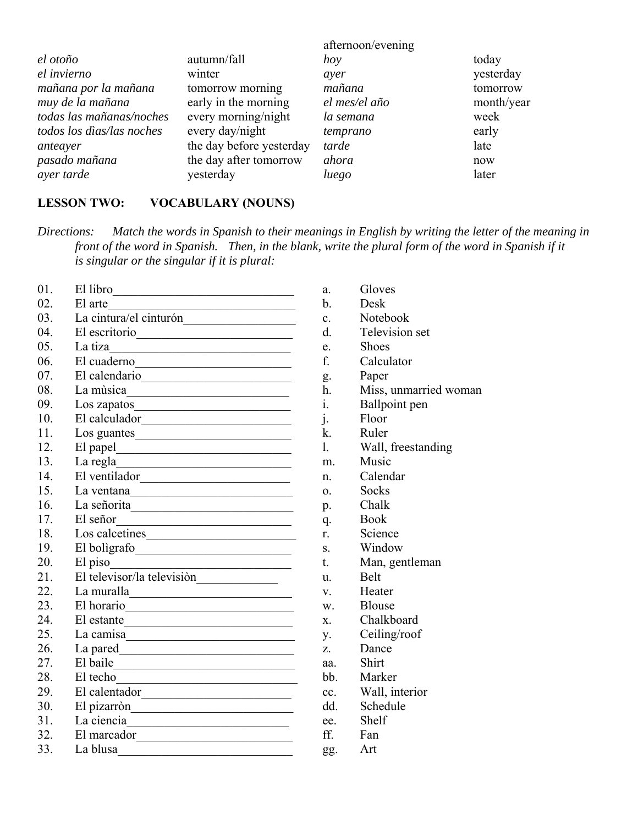|                           |                          | afternoon/evening |            |
|---------------------------|--------------------------|-------------------|------------|
| el otoño                  | autumn/fall              | hoy               | today      |
| el invierno               | winter                   | ayer              | yesterday  |
| mañana por la mañana      | tomorrow morning         | mañana            | tomorrow   |
| muy de la mañana          | early in the morning     | el mes/el año     | month/year |
| todas las mañanas/noches  | every morning/night      | la semana         | week       |
| todos los dias/las noches | every day/night          | temprano          | early      |
| anteayer                  | the day before yesterday | tarde             | late       |
| pasado mañana             | the day after tomorrow   | ahora             | now        |
| ayer tarde                | yesterday                | luego             | later      |

# **LESSON TWO: VOCABULARY (NOUNS)**

*Directions: Match the words in Spanish to their meanings in English by writing the letter of the meaning in front of the word in Spanish. Then, in the blank, write the plural form of the word in Spanish if it is singular or the singular if it is plural:*

| 01. | El libro                                                                                                                                                                                                                                         |
|-----|--------------------------------------------------------------------------------------------------------------------------------------------------------------------------------------------------------------------------------------------------|
| 02. | El arte                                                                                                                                                                                                                                          |
| 03. |                                                                                                                                                                                                                                                  |
| 04. | El escritorio                                                                                                                                                                                                                                    |
| 05. | La tiza<br><u> 1980 - Johann Barbara, martxa alemaniar a</u>                                                                                                                                                                                     |
| 06. | El cuaderno<br><u> 1989 - Johann Barn, mars eta bainar eta bainar eta baina eta baina eta baina eta baina eta baina eta baina e</u>                                                                                                              |
| 07. | El calendario                                                                                                                                                                                                                                    |
| 08. | La mùsica<br><u> 1990 - Johann Barbara, martin amerikan basa</u>                                                                                                                                                                                 |
| 09. | Los zapatos                                                                                                                                                                                                                                      |
| 10. | El calculador                                                                                                                                                                                                                                    |
| 11. | Los guantes                                                                                                                                                                                                                                      |
| 12. |                                                                                                                                                                                                                                                  |
| 13. | La regla<br><u> 1989 - Johann John Stein, mars et al. 1989 - John Stein, mars et al. 1989 - John Stein, mars et al. 1989 - John Stein Stein Stein Stein Stein Stein Stein Stein Stein Stein Stein Stein Stein Stein Stein Stein Stein Stein </u> |
| 14. | El ventilador                                                                                                                                                                                                                                    |
| 15. |                                                                                                                                                                                                                                                  |
| 16. | La señorita                                                                                                                                                                                                                                      |
| 17. | El señor<br><u> 1989 - Johann Barn, mars ar breithinn ar breithinn ar breithinn ar breithinn ar breithinn ar breithinn ar br</u>                                                                                                                 |
| 18. | Los calcetines                                                                                                                                                                                                                                   |
| 19. | El boligrafo                                                                                                                                                                                                                                     |
| 20. | El piso                                                                                                                                                                                                                                          |
| 21. | El televisor/la televisión                                                                                                                                                                                                                       |
| 22. | La muralla anticola del control de la contradición de la contradición de la contradición de la contradición de                                                                                                                                   |
| 23. | El horario                                                                                                                                                                                                                                       |
| 24. | El estante                                                                                                                                                                                                                                       |
| 25. |                                                                                                                                                                                                                                                  |
| 26. |                                                                                                                                                                                                                                                  |
| 27. |                                                                                                                                                                                                                                                  |
| 28. |                                                                                                                                                                                                                                                  |
| 29. |                                                                                                                                                                                                                                                  |
| 30. | El pizarròn                                                                                                                                                                                                                                      |
| 31. | La ciencia<br><u> 1990 - Johann Barbara, martin a</u>                                                                                                                                                                                            |
| 32. | El marcador<br><u> 1980 - Jan Alexandri, manazar amerikan da</u>                                                                                                                                                                                 |
| 33. | La blusa                                                                                                                                                                                                                                         |

- a. Gloves
- b. Desk
- c. Notebook
- d. Television set
- e. Shoes
- f. Calculator
- g. Paper
- h. Miss, unmarried woman
- i. Ballpoint pen
- j. Floor
- k. Ruler
- l. Wall, freestanding
- m. Music
- n. Calendar
- o. Socks
- p. Chalk
- q. Book
- r. Science
- s. Window
- t. Man, gentleman
- u. Belt
- v. Heater
- w. Blouse
- x. Chalkboard
- y. Ceiling/roof
- z. Dance
- aa. Shirt
- bb. Marker
- cc. Wall, interior
- dd. Schedule
- ee. Shelf
- ff. Fan
- gg. Art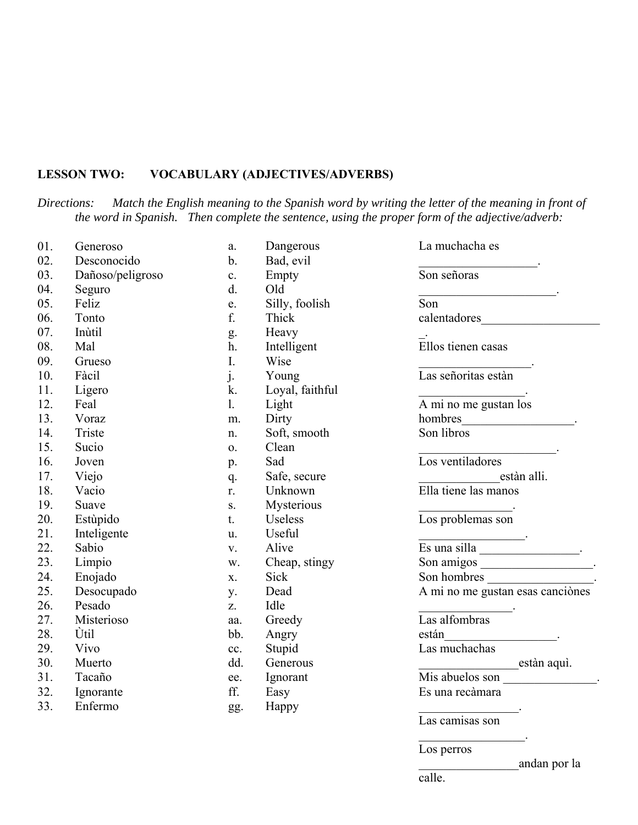# **LESSON TWO: VOCABULARY (ADJECTIVES/ADVERBS)**

*Directions: Match the English meaning to the Spanish word by writing the letter of the meaning in front of the word in Spanish. Then complete the sentence, using the proper form of the adjective/adverb:*

| 01. | Generoso         | a.            | Dangerous       | La muchacha es                      |
|-----|------------------|---------------|-----------------|-------------------------------------|
| 02. | Desconocido      | $\mathbf b$ . | Bad, evil       |                                     |
| 03. | Dañoso/peligroso | c.            | Empty           | Son señoras                         |
| 04. | Seguro           | d.            | Old             |                                     |
| 05. | Feliz            | e.            | Silly, foolish  | Son                                 |
| 06. | Tonto            | f.            | Thick           | calentadores                        |
| 07. | Inùtil           | g.            | Heavy           |                                     |
| 08. | Mal              | h.            | Intelligent     | Ellos tienen casas                  |
| 09. | Grueso           | I.            | Wise            |                                     |
| 10. | Fàcil            | j.            | Young           | Las señoritas estàn                 |
| 11. | Ligero           | k.            | Loyal, faithful |                                     |
| 12. | Feal             | 1.            | Light           | A mi no me gustan los               |
| 13. | Voraz            | m.            | Dirty           |                                     |
| 14. | Triste           | n.            | Soft, smooth    | Son libros                          |
| 15. | Sucio            | 0.            | Clean           |                                     |
| 16. | Joven            | p.            | Sad             | Los ventiladores                    |
| 17. | Viejo            | q.            | Safe, secure    | estàn alli.                         |
| 18. | Vacio            | r.            | Unknown         | Ella tiene las manos                |
| 19. | Suave            | S.            | Mysterious      |                                     |
| 20. | Estùpido         | t.            | Useless         | Los problemas son                   |
| 21. | Inteligente      | u.            | Useful          |                                     |
| 22. | Sabio            | V.            | Alive           | $\overline{\text{Es una silla}}$ .  |
| 23. | Limpio           | w.            | Cheap, stingy   |                                     |
| 24. | Enojado          | X.            | Sick            |                                     |
| 25. | Desocupado       | y.            | Dead            | A mi no me gustan esas canciònes    |
| 26. | Pesado           | Z.            | Idle            |                                     |
| 27. | Misterioso       | aa.           | Greedy          | Las alfombras                       |
| 28. | Ùtil             | bb.           | Angry           | están                               |
| 29. | Vivo             | cc.           | Stupid          | Las muchachas                       |
| 30. | Muerto           | dd.           | Generous        | estàn aquì.                         |
| 31. | Tacaño           | ee.           | Ignorant        | Mis abuelos son __________________. |
| 32. | Ignorante        | ff.           | Easy            | Es una recàmara                     |
| 33. | Enfermo          | gg.           | Happy           |                                     |
|     |                  |               |                 | Las camisas son                     |
|     |                  |               |                 |                                     |

Los perros

\_\_\_\_\_\_\_\_\_\_\_\_\_\_\_\_andan por la

calle.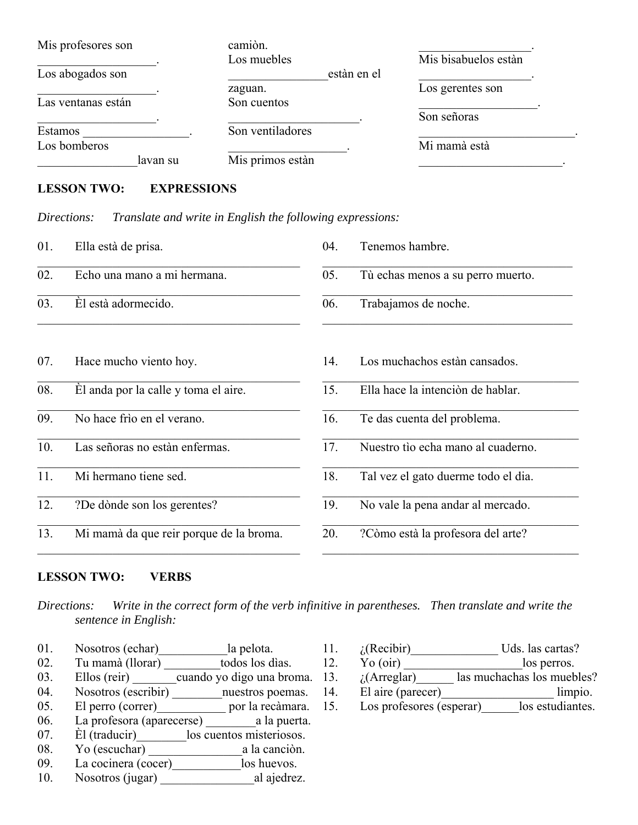| Mis profesores son | camiòn.          |                      |
|--------------------|------------------|----------------------|
|                    | Los muebles      | Mis bisabuelos estàn |
| Los abogados son   | estàn en el      |                      |
|                    | zaguan.          | Los gerentes son     |
| Las ventanas están | Son cuentos      |                      |
|                    |                  | Son señoras          |
| Estamos            | Son ventiladores |                      |
| Los bomberos       |                  | Mi mamà està         |
| lavan su           | Mis primos estàn |                      |

# **LESSON TWO: EXPRESSIONS**

*Directions: Translate and write in English the following expressions:*

| 01. | Ella està de prisa.                     | 04. | Tenemos hambre.                     |
|-----|-----------------------------------------|-----|-------------------------------------|
| 02. | Echo una mano a mi hermana.             | 05. | Tù echas menos a su perro muerto.   |
| 03. | El està adormecido.                     | 06. | Trabajamos de noche.                |
| 07. | Hace mucho viento hoy.                  | 14. | Los muchachos estàn cansados.       |
| 08. | El anda por la calle y toma el aire.    | 15. | Ella hace la intenciòn de hablar.   |
| 09. | No hace frìo en el verano.              | 16. | Te das cuenta del problema.         |
| 10. | Las señoras no estàn enfermas.          | 17. | Nuestro tìo echa mano al cuaderno.  |
| 11. | Mi hermano tiene sed.                   | 18. | Tal vez el gato duerme todo el dia. |
| 12. | ?De dònde son los gerentes?             | 19. | No vale la pena andar al mercado.   |
| 13. | Mi mamà da que reir porque de la broma. | 20. | ?Còmo està la profesora del arte?   |

# **LESSON TWO: VERBS**

*Directions: Write in the correct form of the verb infinitive in parentheses. Then translate and write the sentence in English:*

- 01. Nosotros (echar) la pelota.
- 02. Tu mamà (llorar) todos los dìas.
- 03. Ellos (reir) cuando yo digo una broma.
- 04. Nosotros (escribir) unuestros poemas.
- 05. El perro (correr) por la recàmara.
- 06. La profesora (aparecerse) \_\_\_\_\_\_\_\_a la puerta.
- 07. Èl (traducir) los cuentos misteriosos.
- 08. Yo (escuchar) a la canciòn.
- 09. La cocinera (cocer) los huevos.
- 10. Nosotros (jugar) \_\_\_\_\_\_\_\_\_\_\_\_\_\_\_al ajedrez.
- 11. *i*(Recibir) Uds. las cartas?
- 12. Yo (oir) los perros.
- 13.  $i$ (Arreglar) las muchachas los muebles?
- 14. El aire (parecer) limpio.
- 15. Los profesores (esperar)\_\_\_\_\_\_los estudiantes.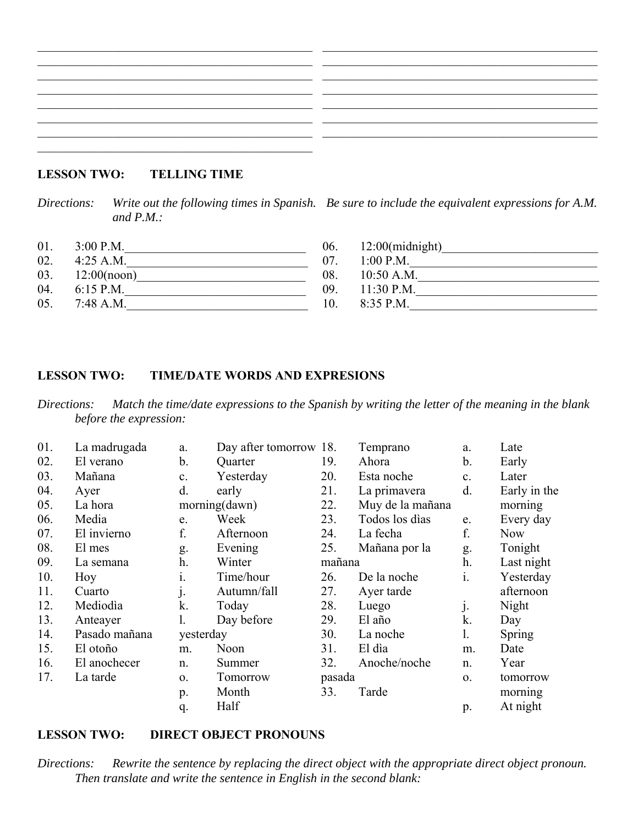# **LESSON TWO: TELLING TIME**

*Directions: Write out the following times in Spanish. Be sure to include the equivalent expressions for A.M. and P.M.:*

| 01. | $3:00$ P.M. |  |
|-----|-------------|--|
| 02. | $4:25$ A.M. |  |
| 03. | 12:00(noon) |  |
| 04. | $6:15$ P.M. |  |

05. 7:48 A.M.

| $12:00$ (midnight)<br>06. |  |
|---------------------------|--|
| 07.<br>$1:00$ P.M.        |  |
| 08.<br>$10:50$ A.M.       |  |
| 09.<br>$11:30$ P.M.       |  |
| 10.<br>8:35 P.M.          |  |

## **LESSON TWO: TIME/DATE WORDS AND EXPRESIONS**

*Directions: Match the time/date expressions to the Spanish by writing the letter of the meaning in the blank before the expression:*

| 01. | La madrugada  | a.             | Day after tomorrow 18. |        | Temprano         | a.             | Late         |
|-----|---------------|----------------|------------------------|--------|------------------|----------------|--------------|
| 02. | El verano     | b.             | Quarter                | 19.    | Ahora            | b.             | Early        |
| 03. | Mañana        | c.             | Yesterday              | 20.    | Esta noche       | c.             | Later        |
| 04. | Ayer          | d.             | early                  | 21.    | La primavera     | d.             | Early in the |
| 05. | La hora       |                | morning(dawn)          | 22.    | Muy de la mañana |                | morning      |
| 06. | Media         | e.             | Week                   | 23.    | Todos los dìas   | e.             | Every day    |
| 07. | El invierno   | f.             | Afternoon              | 24.    | La fecha         | f.             | Now          |
| 08. | El mes        | g.             | Evening                | 25.    | Mañana por la    | g.             | Tonight      |
| 09. | La semana     | h.             | Winter                 | mañana |                  | h.             | Last night   |
| 10. | Hoy           | $\mathbf{i}$ . | Time/hour              | 26.    | De la noche      | i.             | Yesterday    |
| 11. | Cuarto        | j.             | Autumn/fall            | 27.    | Ayer tarde       |                | afternoon    |
| 12. | Mediodìa      | k.             | Today                  | 28.    | Luego            | $\mathbf{j}$ . | Night        |
| 13. | Anteayer      |                | Day before             | 29.    | El año           | k.             | Day          |
| 14. | Pasado mañana | yesterday      |                        | 30.    | La noche         | 1.             | Spring       |
| 15. | El otoño      | m.             | Noon                   | 31.    | El dia           | m.             | Date         |
| 16. | El anochecer  | n.             | Summer                 | 32.    | Anoche/noche     | n.             | Year         |
| 17. | La tarde      | $\mathbf{O}$ . | Tomorrow               | pasada |                  | 0.             | tomorrow     |
|     |               | p.             | Month                  | 33.    | Tarde            |                | morning      |
|     |               | q.             | Half                   |        |                  | p.             | At night     |

## **LESSON TWO: DIRECT OBJECT PRONOUNS**

*Directions: Rewrite the sentence by replacing the direct object with the appropriate direct object pronoun. Then translate and write the sentence in English in the second blank:*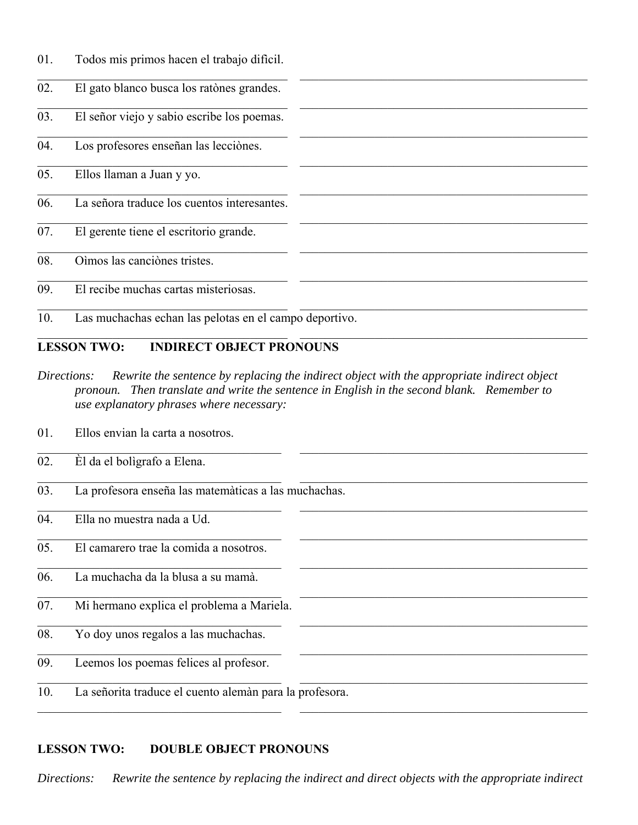| 01. |  |  | Todos mis primos hacen el trabajo dificil. |  |
|-----|--|--|--------------------------------------------|--|
|     |  |  |                                            |  |

| 02. | El gato blanco busca los ratònes grandes.              |
|-----|--------------------------------------------------------|
| 03. | El señor viejo y sabio escribe los poemas.             |
| 04. | Los profesores enseñan las lecciònes.                  |
| 05. | Ellos llaman a Juan y yo.                              |
| 06. | La señora traduce los cuentos interesantes.            |
| 07. | El gerente tiene el escritorio grande.                 |
| 08. | Oìmos las canciònes tristes.                           |
| 09. | El recibe muchas cartas misteriosas.                   |
| 10. | Las muchachas echan las pelotas en el campo deportivo. |

# **LESSON TWO: INDIRECT OBJECT PRONOUNS**

*Directions: Rewrite the sentence by replacing the indirect object with the appropriate indirect object pronoun. Then translate and write the sentence in English in the second blank. Remember to use explanatory phrases where necessary:*

01. Ellos envian la carta a nosotros.

| 02. | El da el boligrafo a Elena.                             |  |
|-----|---------------------------------------------------------|--|
| 03. | La profesora enseña las matemàticas a las muchachas.    |  |
| 04. | Ella no muestra nada a Ud.                              |  |
| 05. | El camarero trae la comida a nosotros.                  |  |
| 06. | La muchacha da la blusa a su mamà.                      |  |
| 07. | Mi hermano explica el problema a Mariela.               |  |
| 08. | Yo doy unos regalos a las muchachas.                    |  |
| 09. | Leemos los poemas felices al profesor.                  |  |
| 10. | La señorita traduce el cuento alemán para la profesora. |  |

# **LESSON TWO: DOUBLE OBJECT PRONOUNS**

*Directions: Rewrite the sentence by replacing the indirect and direct objects with the appropriate indirect*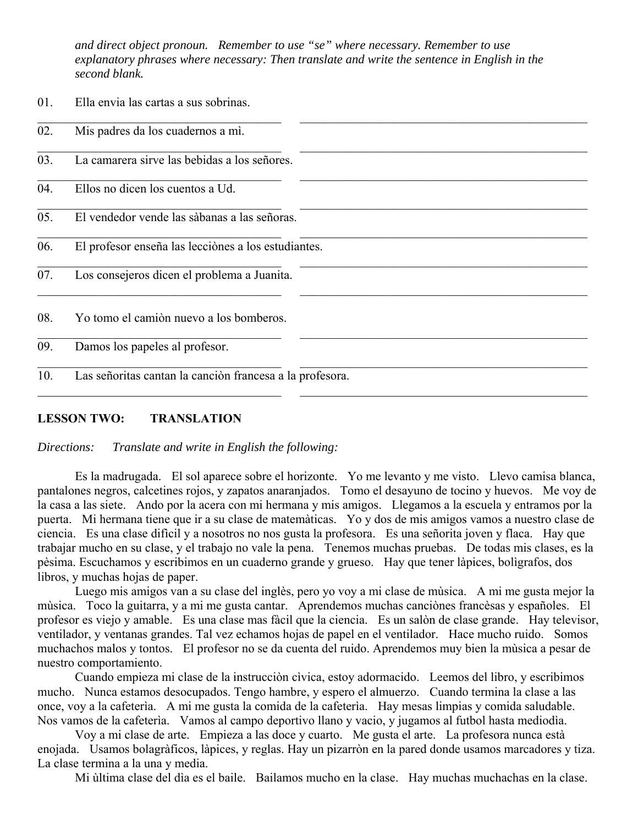*and direct object pronoun. Remember to use "se" where necessary. Remember to use explanatory phrases where necessary: Then translate and write the sentence in English in the second blank.* 

| vı. | Liia Ciivia ias Cartas a sus sobrinas.                   |  |
|-----|----------------------------------------------------------|--|
| 02. | Mis padres da los cuadernos a mi.                        |  |
| 03. | La camarera sirve las bebidas a los señores.             |  |
| 04. | Ellos no dicen los cuentos a Ud.                         |  |
| 05. | El vendedor vende las sàbanas a las señoras.             |  |
| 06. | El profesor enseña las lecciònes a los estudiantes.      |  |
| 07. | Los consejeros dicen el problema a Juanita.              |  |
| 08. | Yo tomo el camión nuevo a los bomberos.                  |  |
| 09. | Damos los papeles al profesor.                           |  |
| 10. | Las señoritas cantan la canción francesa a la profesora. |  |

## **LESSON TWO: TRANSLATION**

01. Ella envia las cartas a sus sobrinas.

*Directions: Translate and write in English the following:*

 Es la madrugada. El sol aparece sobre el horizonte. Yo me levanto y me visto. Llevo camisa blanca, pantalones negros, calcetines rojos, y zapatos anaranjados. Tomo el desayuno de tocino y huevos. Me voy de la casa a las siete. Ando por la acera con mi hermana y mis amigos. Llegamos a la escuela y entramos por la puerta. Mi hermana tiene que ir a su clase de matemàticas. Yo y dos de mis amigos vamos a nuestro clase de ciencia. Es una clase difìcil y a nosotros no nos gusta la profesora. Es una señorita joven y flaca. Hay que trabajar mucho en su clase, y el trabajo no vale la pena. Tenemos muchas pruebas. De todas mis clases, es la pèsima. Escuchamos y escribimos en un cuaderno grande y grueso. Hay que tener làpices, bolìgrafos, dos libros, y muchas hojas de paper.

 Luego mis amigos van a su clase del inglès, pero yo voy a mi clase de mùsica. A mi me gusta mejor la mùsica. Toco la guitarra, y a mi me gusta cantar. Aprendemos muchas canciònes francèsas y españoles. El profesor es viejo y amable. Es una clase mas fàcil que la ciencia. Es un salòn de clase grande. Hay televisor, ventilador, y ventanas grandes. Tal vez echamos hojas de papel en el ventilador. Hace mucho ruido. Somos muchachos malos y tontos. El profesor no se da cuenta del ruido. Aprendemos muy bien la mùsica a pesar de nuestro comportamiento.

 Cuando empieza mi clase de la instrucciòn cìvica, estoy adormacido. Leemos del libro, y escribimos mucho. Nunca estamos desocupados. Tengo hambre, y espero el almuerzo. Cuando termina la clase a las once, voy a la cafeterìa. A mi me gusta la comida de la cafeterìa. Hay mesas limpias y comida saludable. Nos vamos de la cafeterìa. Vamos al campo deportivo llano y vacio, y jugamos al futbol hasta mediodìa.

 Voy a mi clase de arte. Empieza a las doce y cuarto. Me gusta el arte. La profesora nunca està enojada. Usamos bolagràficos, làpices, y reglas. Hay un pizarròn en la pared donde usamos marcadores y tiza. La clase termina a la una y media.

Mi ùltima clase del dìa es el baile. Bailamos mucho en la clase. Hay muchas muchachas en la clase.